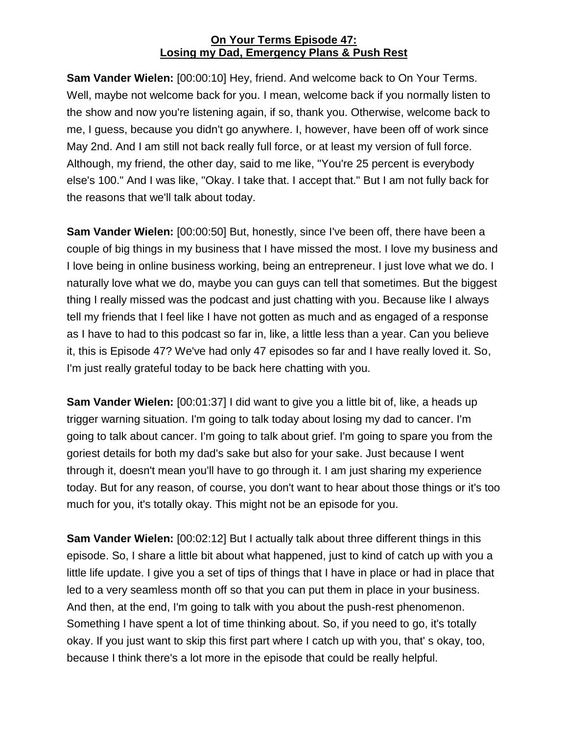**Sam Vander Wielen:** [00:00:10] Hey, friend. And welcome back to On Your Terms. Well, maybe not welcome back for you. I mean, welcome back if you normally listen to the show and now you're listening again, if so, thank you. Otherwise, welcome back to me, I guess, because you didn't go anywhere. I, however, have been off of work since May 2nd. And I am still not back really full force, or at least my version of full force. Although, my friend, the other day, said to me like, "You're 25 percent is everybody else's 100." And I was like, "Okay. I take that. I accept that." But I am not fully back for the reasons that we'll talk about today.

**Sam Vander Wielen:** [00:00:50] But, honestly, since I've been off, there have been a couple of big things in my business that I have missed the most. I love my business and I love being in online business working, being an entrepreneur. I just love what we do. I naturally love what we do, maybe you can guys can tell that sometimes. But the biggest thing I really missed was the podcast and just chatting with you. Because like I always tell my friends that I feel like I have not gotten as much and as engaged of a response as I have to had to this podcast so far in, like, a little less than a year. Can you believe it, this is Episode 47? We've had only 47 episodes so far and I have really loved it. So, I'm just really grateful today to be back here chatting with you.

**Sam Vander Wielen:** [00:01:37] I did want to give you a little bit of, like, a heads up trigger warning situation. I'm going to talk today about losing my dad to cancer. I'm going to talk about cancer. I'm going to talk about grief. I'm going to spare you from the goriest details for both my dad's sake but also for your sake. Just because I went through it, doesn't mean you'll have to go through it. I am just sharing my experience today. But for any reason, of course, you don't want to hear about those things or it's too much for you, it's totally okay. This might not be an episode for you.

**Sam Vander Wielen:** [00:02:12] But I actually talk about three different things in this episode. So, I share a little bit about what happened, just to kind of catch up with you a little life update. I give you a set of tips of things that I have in place or had in place that led to a very seamless month off so that you can put them in place in your business. And then, at the end, I'm going to talk with you about the push-rest phenomenon. Something I have spent a lot of time thinking about. So, if you need to go, it's totally okay. If you just want to skip this first part where I catch up with you, that' s okay, too, because I think there's a lot more in the episode that could be really helpful.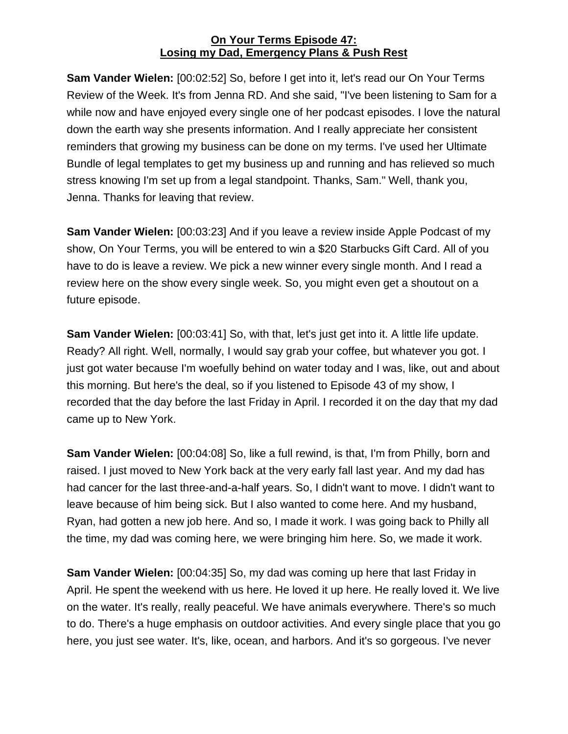**Sam Vander Wielen:** [00:02:52] So, before I get into it, let's read our On Your Terms Review of the Week. It's from Jenna RD. And she said, "I've been listening to Sam for a while now and have enjoyed every single one of her podcast episodes. I love the natural down the earth way she presents information. And I really appreciate her consistent reminders that growing my business can be done on my terms. I've used her Ultimate Bundle of legal templates to get my business up and running and has relieved so much stress knowing I'm set up from a legal standpoint. Thanks, Sam." Well, thank you, Jenna. Thanks for leaving that review.

**Sam Vander Wielen:** [00:03:23] And if you leave a review inside Apple Podcast of my show, On Your Terms, you will be entered to win a \$20 Starbucks Gift Card. All of you have to do is leave a review. We pick a new winner every single month. And I read a review here on the show every single week. So, you might even get a shoutout on a future episode.

**Sam Vander Wielen:** [00:03:41] So, with that, let's just get into it. A little life update. Ready? All right. Well, normally, I would say grab your coffee, but whatever you got. I just got water because I'm woefully behind on water today and I was, like, out and about this morning. But here's the deal, so if you listened to Episode 43 of my show, I recorded that the day before the last Friday in April. I recorded it on the day that my dad came up to New York.

**Sam Vander Wielen:** [00:04:08] So, like a full rewind, is that, I'm from Philly, born and raised. I just moved to New York back at the very early fall last year. And my dad has had cancer for the last three-and-a-half years. So, I didn't want to move. I didn't want to leave because of him being sick. But I also wanted to come here. And my husband, Ryan, had gotten a new job here. And so, I made it work. I was going back to Philly all the time, my dad was coming here, we were bringing him here. So, we made it work.

**Sam Vander Wielen:** [00:04:35] So, my dad was coming up here that last Friday in April. He spent the weekend with us here. He loved it up here. He really loved it. We live on the water. It's really, really peaceful. We have animals everywhere. There's so much to do. There's a huge emphasis on outdoor activities. And every single place that you go here, you just see water. It's, like, ocean, and harbors. And it's so gorgeous. I've never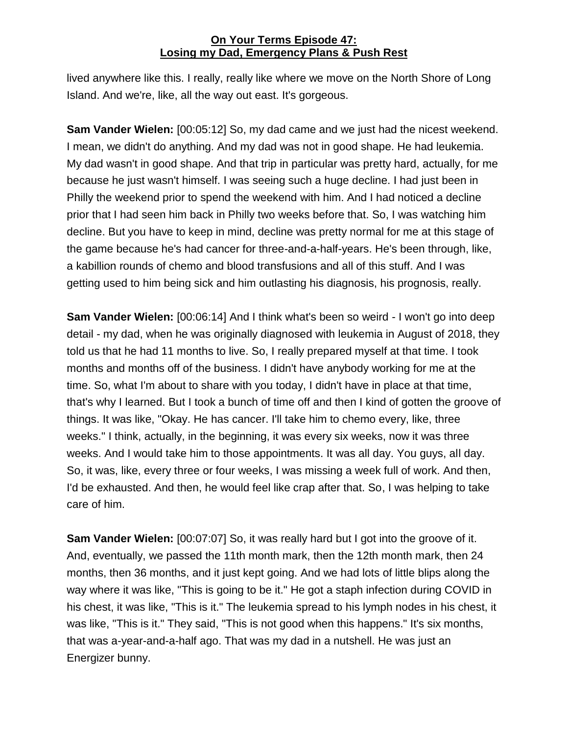lived anywhere like this. I really, really like where we move on the North Shore of Long Island. And we're, like, all the way out east. It's gorgeous.

**Sam Vander Wielen:** [00:05:12] So, my dad came and we just had the nicest weekend. I mean, we didn't do anything. And my dad was not in good shape. He had leukemia. My dad wasn't in good shape. And that trip in particular was pretty hard, actually, for me because he just wasn't himself. I was seeing such a huge decline. I had just been in Philly the weekend prior to spend the weekend with him. And I had noticed a decline prior that I had seen him back in Philly two weeks before that. So, I was watching him decline. But you have to keep in mind, decline was pretty normal for me at this stage of the game because he's had cancer for three-and-a-half-years. He's been through, like, a kabillion rounds of chemo and blood transfusions and all of this stuff. And I was getting used to him being sick and him outlasting his diagnosis, his prognosis, really.

**Sam Vander Wielen:** [00:06:14] And I think what's been so weird - I won't go into deep detail - my dad, when he was originally diagnosed with leukemia in August of 2018, they told us that he had 11 months to live. So, I really prepared myself at that time. I took months and months off of the business. I didn't have anybody working for me at the time. So, what I'm about to share with you today, I didn't have in place at that time, that's why I learned. But I took a bunch of time off and then I kind of gotten the groove of things. It was like, "Okay. He has cancer. I'll take him to chemo every, like, three weeks." I think, actually, in the beginning, it was every six weeks, now it was three weeks. And I would take him to those appointments. It was all day. You guys, all day. So, it was, like, every three or four weeks, I was missing a week full of work. And then, I'd be exhausted. And then, he would feel like crap after that. So, I was helping to take care of him.

**Sam Vander Wielen:** [00:07:07] So, it was really hard but I got into the groove of it. And, eventually, we passed the 11th month mark, then the 12th month mark, then 24 months, then 36 months, and it just kept going. And we had lots of little blips along the way where it was like, "This is going to be it." He got a staph infection during COVID in his chest, it was like, "This is it." The leukemia spread to his lymph nodes in his chest, it was like, "This is it." They said, "This is not good when this happens." It's six months, that was a-year-and-a-half ago. That was my dad in a nutshell. He was just an Energizer bunny.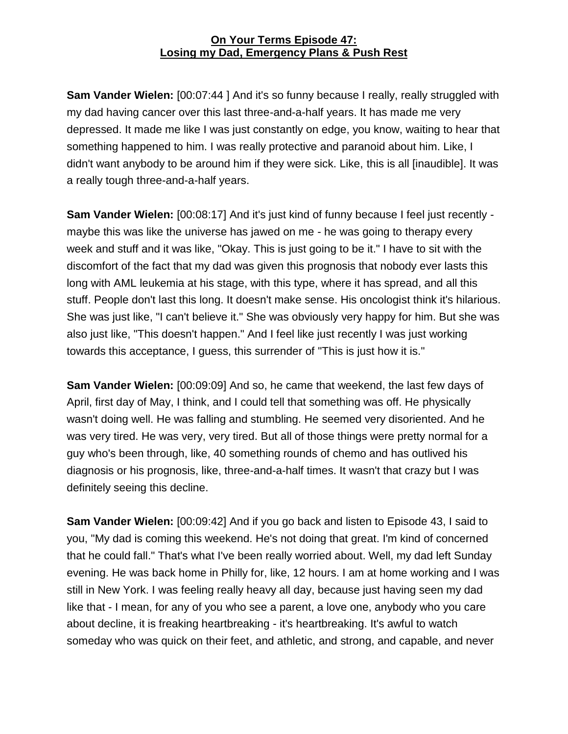**Sam Vander Wielen:** [00:07:44 ] And it's so funny because I really, really struggled with my dad having cancer over this last three-and-a-half years. It has made me very depressed. It made me like I was just constantly on edge, you know, waiting to hear that something happened to him. I was really protective and paranoid about him. Like, I didn't want anybody to be around him if they were sick. Like, this is all [inaudible]. It was a really tough three-and-a-half years.

**Sam Vander Wielen:** [00:08:17] And it's just kind of funny because I feel just recently maybe this was like the universe has jawed on me - he was going to therapy every week and stuff and it was like, "Okay. This is just going to be it." I have to sit with the discomfort of the fact that my dad was given this prognosis that nobody ever lasts this long with AML leukemia at his stage, with this type, where it has spread, and all this stuff. People don't last this long. It doesn't make sense. His oncologist think it's hilarious. She was just like, "I can't believe it." She was obviously very happy for him. But she was also just like, "This doesn't happen." And I feel like just recently I was just working towards this acceptance, I guess, this surrender of "This is just how it is."

**Sam Vander Wielen:** [00:09:09] And so, he came that weekend, the last few days of April, first day of May, I think, and I could tell that something was off. He physically wasn't doing well. He was falling and stumbling. He seemed very disoriented. And he was very tired. He was very, very tired. But all of those things were pretty normal for a guy who's been through, like, 40 something rounds of chemo and has outlived his diagnosis or his prognosis, like, three-and-a-half times. It wasn't that crazy but I was definitely seeing this decline.

**Sam Vander Wielen:** [00:09:42] And if you go back and listen to Episode 43, I said to you, "My dad is coming this weekend. He's not doing that great. I'm kind of concerned that he could fall." That's what I've been really worried about. Well, my dad left Sunday evening. He was back home in Philly for, like, 12 hours. I am at home working and I was still in New York. I was feeling really heavy all day, because just having seen my dad like that - I mean, for any of you who see a parent, a love one, anybody who you care about decline, it is freaking heartbreaking - it's heartbreaking. It's awful to watch someday who was quick on their feet, and athletic, and strong, and capable, and never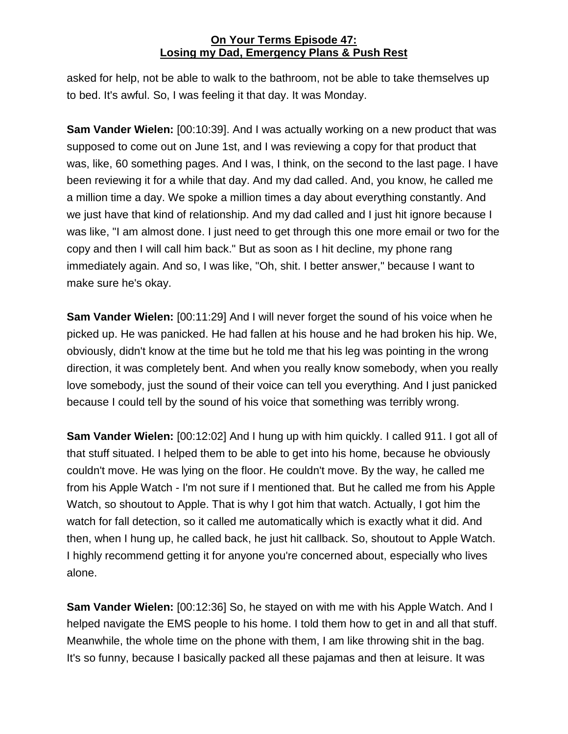asked for help, not be able to walk to the bathroom, not be able to take themselves up to bed. It's awful. So, I was feeling it that day. It was Monday.

**Sam Vander Wielen:** [00:10:39]. And I was actually working on a new product that was supposed to come out on June 1st, and I was reviewing a copy for that product that was, like, 60 something pages. And I was, I think, on the second to the last page. I have been reviewing it for a while that day. And my dad called. And, you know, he called me a million time a day. We spoke a million times a day about everything constantly. And we just have that kind of relationship. And my dad called and I just hit ignore because I was like, "I am almost done. I just need to get through this one more email or two for the copy and then I will call him back." But as soon as I hit decline, my phone rang immediately again. And so, I was like, "Oh, shit. I better answer," because I want to make sure he's okay.

**Sam Vander Wielen:** [00:11:29] And I will never forget the sound of his voice when he picked up. He was panicked. He had fallen at his house and he had broken his hip. We, obviously, didn't know at the time but he told me that his leg was pointing in the wrong direction, it was completely bent. And when you really know somebody, when you really love somebody, just the sound of their voice can tell you everything. And I just panicked because I could tell by the sound of his voice that something was terribly wrong.

**Sam Vander Wielen:** [00:12:02] And I hung up with him quickly. I called 911. I got all of that stuff situated. I helped them to be able to get into his home, because he obviously couldn't move. He was lying on the floor. He couldn't move. By the way, he called me from his Apple Watch - I'm not sure if I mentioned that. But he called me from his Apple Watch, so shoutout to Apple. That is why I got him that watch. Actually, I got him the watch for fall detection, so it called me automatically which is exactly what it did. And then, when I hung up, he called back, he just hit callback. So, shoutout to Apple Watch. I highly recommend getting it for anyone you're concerned about, especially who lives alone.

**Sam Vander Wielen:** [00:12:36] So, he stayed on with me with his Apple Watch. And I helped navigate the EMS people to his home. I told them how to get in and all that stuff. Meanwhile, the whole time on the phone with them, I am like throwing shit in the bag. It's so funny, because I basically packed all these pajamas and then at leisure. It was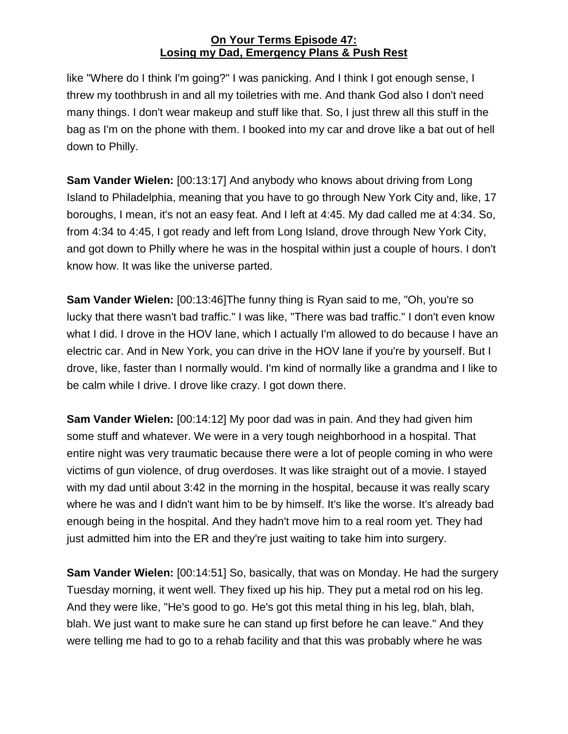like "Where do I think I'm going?" I was panicking. And I think I got enough sense, I threw my toothbrush in and all my toiletries with me. And thank God also I don't need many things. I don't wear makeup and stuff like that. So, I just threw all this stuff in the bag as I'm on the phone with them. I booked into my car and drove like a bat out of hell down to Philly.

**Sam Vander Wielen:** [00:13:17] And anybody who knows about driving from Long Island to Philadelphia, meaning that you have to go through New York City and, like, 17 boroughs, I mean, it's not an easy feat. And I left at 4:45. My dad called me at 4:34. So, from 4:34 to 4:45, I got ready and left from Long Island, drove through New York City, and got down to Philly where he was in the hospital within just a couple of hours. I don't know how. It was like the universe parted.

**Sam Vander Wielen:** [00:13:46]The funny thing is Ryan said to me, "Oh, you're so lucky that there wasn't bad traffic." I was like, "There was bad traffic." I don't even know what I did. I drove in the HOV lane, which I actually I'm allowed to do because I have an electric car. And in New York, you can drive in the HOV lane if you're by yourself. But I drove, like, faster than I normally would. I'm kind of normally like a grandma and I like to be calm while I drive. I drove like crazy. I got down there.

**Sam Vander Wielen:** [00:14:12] My poor dad was in pain. And they had given him some stuff and whatever. We were in a very tough neighborhood in a hospital. That entire night was very traumatic because there were a lot of people coming in who were victims of gun violence, of drug overdoses. It was like straight out of a movie. I stayed with my dad until about 3:42 in the morning in the hospital, because it was really scary where he was and I didn't want him to be by himself. It's like the worse. It's already bad enough being in the hospital. And they hadn't move him to a real room yet. They had just admitted him into the ER and they're just waiting to take him into surgery.

**Sam Vander Wielen:** [00:14:51] So, basically, that was on Monday. He had the surgery Tuesday morning, it went well. They fixed up his hip. They put a metal rod on his leg. And they were like, "He's good to go. He's got this metal thing in his leg, blah, blah, blah. We just want to make sure he can stand up first before he can leave." And they were telling me had to go to a rehab facility and that this was probably where he was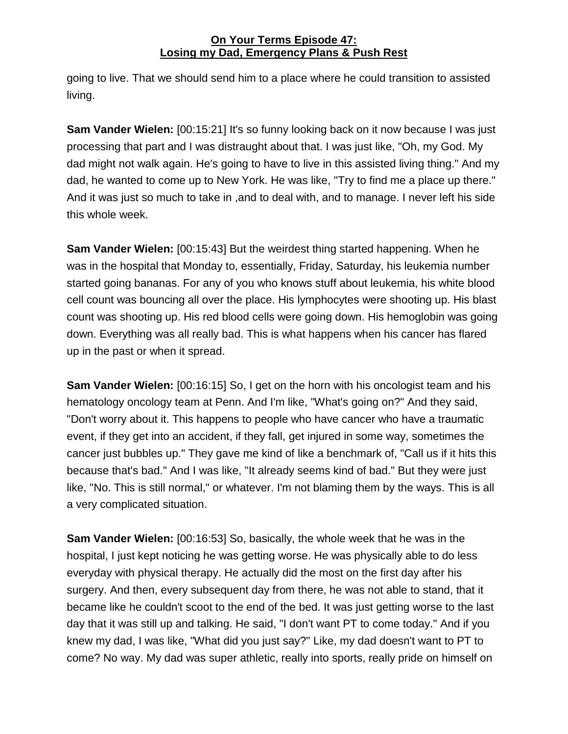going to live. That we should send him to a place where he could transition to assisted living.

**Sam Vander Wielen:** [00:15:21] It's so funny looking back on it now because I was just processing that part and I was distraught about that. I was just like, "Oh, my God. My dad might not walk again. He's going to have to live in this assisted living thing." And my dad, he wanted to come up to New York. He was like, "Try to find me a place up there." And it was just so much to take in ,and to deal with, and to manage. I never left his side this whole week.

**Sam Vander Wielen:** [00:15:43] But the weirdest thing started happening. When he was in the hospital that Monday to, essentially, Friday, Saturday, his leukemia number started going bananas. For any of you who knows stuff about leukemia, his white blood cell count was bouncing all over the place. His lymphocytes were shooting up. His blast count was shooting up. His red blood cells were going down. His hemoglobin was going down. Everything was all really bad. This is what happens when his cancer has flared up in the past or when it spread.

**Sam Vander Wielen:** [00:16:15] So, I get on the horn with his oncologist team and his hematology oncology team at Penn. And I'm like, "What's going on?" And they said, "Don't worry about it. This happens to people who have cancer who have a traumatic event, if they get into an accident, if they fall, get injured in some way, sometimes the cancer just bubbles up." They gave me kind of like a benchmark of, "Call us if it hits this because that's bad." And I was like, "It already seems kind of bad." But they were just like, "No. This is still normal," or whatever. I'm not blaming them by the ways. This is all a very complicated situation.

**Sam Vander Wielen:** [00:16:53] So, basically, the whole week that he was in the hospital, I just kept noticing he was getting worse. He was physically able to do less everyday with physical therapy. He actually did the most on the first day after his surgery. And then, every subsequent day from there, he was not able to stand, that it became like he couldn't scoot to the end of the bed. It was just getting worse to the last day that it was still up and talking. He said, "I don't want PT to come today." And if you knew my dad, I was like, "What did you just say?" Like, my dad doesn't want to PT to come? No way. My dad was super athletic, really into sports, really pride on himself on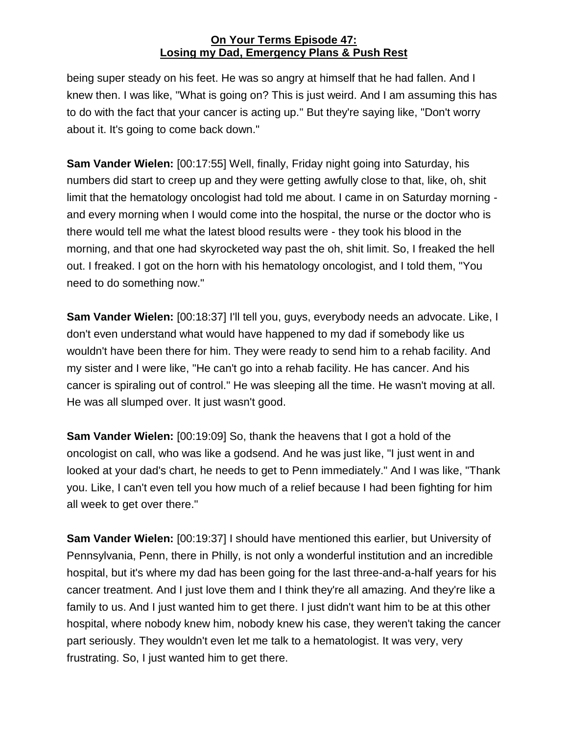being super steady on his feet. He was so angry at himself that he had fallen. And I knew then. I was like, "What is going on? This is just weird. And I am assuming this has to do with the fact that your cancer is acting up." But they're saying like, "Don't worry about it. It's going to come back down."

**Sam Vander Wielen:** [00:17:55] Well, finally, Friday night going into Saturday, his numbers did start to creep up and they were getting awfully close to that, like, oh, shit limit that the hematology oncologist had told me about. I came in on Saturday morning and every morning when I would come into the hospital, the nurse or the doctor who is there would tell me what the latest blood results were - they took his blood in the morning, and that one had skyrocketed way past the oh, shit limit. So, I freaked the hell out. I freaked. I got on the horn with his hematology oncologist, and I told them, "You need to do something now."

**Sam Vander Wielen:** [00:18:37] I'll tell you, guys, everybody needs an advocate. Like, I don't even understand what would have happened to my dad if somebody like us wouldn't have been there for him. They were ready to send him to a rehab facility. And my sister and I were like, "He can't go into a rehab facility. He has cancer. And his cancer is spiraling out of control." He was sleeping all the time. He wasn't moving at all. He was all slumped over. It just wasn't good.

**Sam Vander Wielen:** [00:19:09] So, thank the heavens that I got a hold of the oncologist on call, who was like a godsend. And he was just like, "I just went in and looked at your dad's chart, he needs to get to Penn immediately." And I was like, "Thank you. Like, I can't even tell you how much of a relief because I had been fighting for him all week to get over there."

**Sam Vander Wielen:** [00:19:37] I should have mentioned this earlier, but University of Pennsylvania, Penn, there in Philly, is not only a wonderful institution and an incredible hospital, but it's where my dad has been going for the last three-and-a-half years for his cancer treatment. And I just love them and I think they're all amazing. And they're like a family to us. And I just wanted him to get there. I just didn't want him to be at this other hospital, where nobody knew him, nobody knew his case, they weren't taking the cancer part seriously. They wouldn't even let me talk to a hematologist. It was very, very frustrating. So, I just wanted him to get there.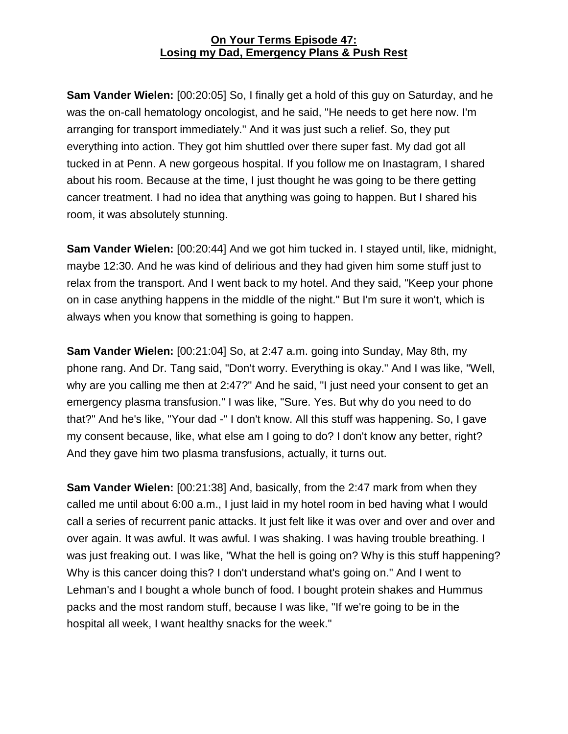**Sam Vander Wielen:** [00:20:05] So, I finally get a hold of this guy on Saturday, and he was the on-call hematology oncologist, and he said, "He needs to get here now. I'm arranging for transport immediately." And it was just such a relief. So, they put everything into action. They got him shuttled over there super fast. My dad got all tucked in at Penn. A new gorgeous hospital. If you follow me on Inastagram, I shared about his room. Because at the time, I just thought he was going to be there getting cancer treatment. I had no idea that anything was going to happen. But I shared his room, it was absolutely stunning.

**Sam Vander Wielen:** [00:20:44] And we got him tucked in. I stayed until, like, midnight, maybe 12:30. And he was kind of delirious and they had given him some stuff just to relax from the transport. And I went back to my hotel. And they said, "Keep your phone on in case anything happens in the middle of the night." But I'm sure it won't, which is always when you know that something is going to happen.

**Sam Vander Wielen:** [00:21:04] So, at 2:47 a.m. going into Sunday, May 8th, my phone rang. And Dr. Tang said, "Don't worry. Everything is okay." And I was like, "Well, why are you calling me then at 2:47?" And he said, "I just need your consent to get an emergency plasma transfusion." I was like, "Sure. Yes. But why do you need to do that?" And he's like, "Your dad -" I don't know. All this stuff was happening. So, I gave my consent because, like, what else am I going to do? I don't know any better, right? And they gave him two plasma transfusions, actually, it turns out.

**Sam Vander Wielen:** [00:21:38] And, basically, from the 2:47 mark from when they called me until about 6:00 a.m., I just laid in my hotel room in bed having what I would call a series of recurrent panic attacks. It just felt like it was over and over and over and over again. It was awful. It was awful. I was shaking. I was having trouble breathing. I was just freaking out. I was like, "What the hell is going on? Why is this stuff happening? Why is this cancer doing this? I don't understand what's going on." And I went to Lehman's and I bought a whole bunch of food. I bought protein shakes and Hummus packs and the most random stuff, because I was like, "If we're going to be in the hospital all week, I want healthy snacks for the week."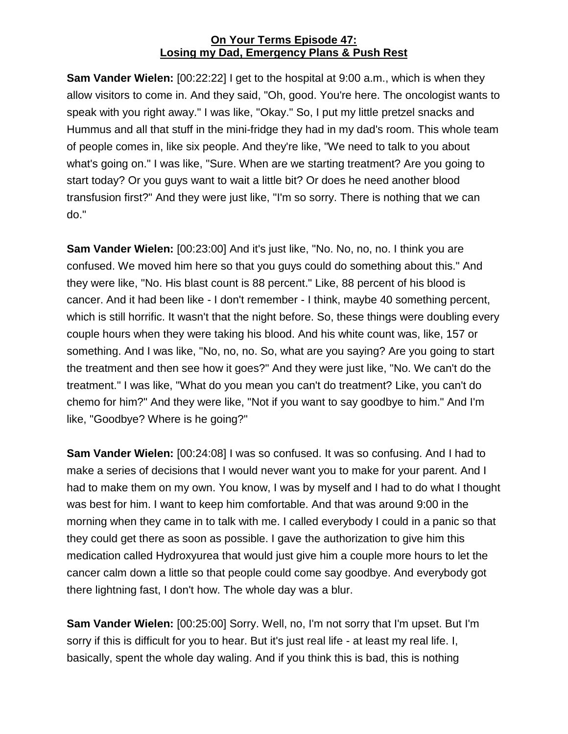**Sam Vander Wielen:** [00:22:22] I get to the hospital at 9:00 a.m., which is when they allow visitors to come in. And they said, "Oh, good. You're here. The oncologist wants to speak with you right away." I was like, "Okay." So, I put my little pretzel snacks and Hummus and all that stuff in the mini-fridge they had in my dad's room. This whole team of people comes in, like six people. And they're like, "We need to talk to you about what's going on." I was like, "Sure. When are we starting treatment? Are you going to start today? Or you guys want to wait a little bit? Or does he need another blood transfusion first?" And they were just like, "I'm so sorry. There is nothing that we can do."

**Sam Vander Wielen:** [00:23:00] And it's just like, "No. No, no, no. I think you are confused. We moved him here so that you guys could do something about this." And they were like, "No. His blast count is 88 percent." Like, 88 percent of his blood is cancer. And it had been like - I don't remember - I think, maybe 40 something percent, which is still horrific. It wasn't that the night before. So, these things were doubling every couple hours when they were taking his blood. And his white count was, like, 157 or something. And I was like, "No, no, no. So, what are you saying? Are you going to start the treatment and then see how it goes?" And they were just like, "No. We can't do the treatment." I was like, "What do you mean you can't do treatment? Like, you can't do chemo for him?" And they were like, "Not if you want to say goodbye to him." And I'm like, "Goodbye? Where is he going?"

**Sam Vander Wielen:** [00:24:08] I was so confused. It was so confusing. And I had to make a series of decisions that I would never want you to make for your parent. And I had to make them on my own. You know, I was by myself and I had to do what I thought was best for him. I want to keep him comfortable. And that was around 9:00 in the morning when they came in to talk with me. I called everybody I could in a panic so that they could get there as soon as possible. I gave the authorization to give him this medication called Hydroxyurea that would just give him a couple more hours to let the cancer calm down a little so that people could come say goodbye. And everybody got there lightning fast, I don't how. The whole day was a blur.

**Sam Vander Wielen:** [00:25:00] Sorry. Well, no, I'm not sorry that I'm upset. But I'm sorry if this is difficult for you to hear. But it's just real life - at least my real life. I, basically, spent the whole day waling. And if you think this is bad, this is nothing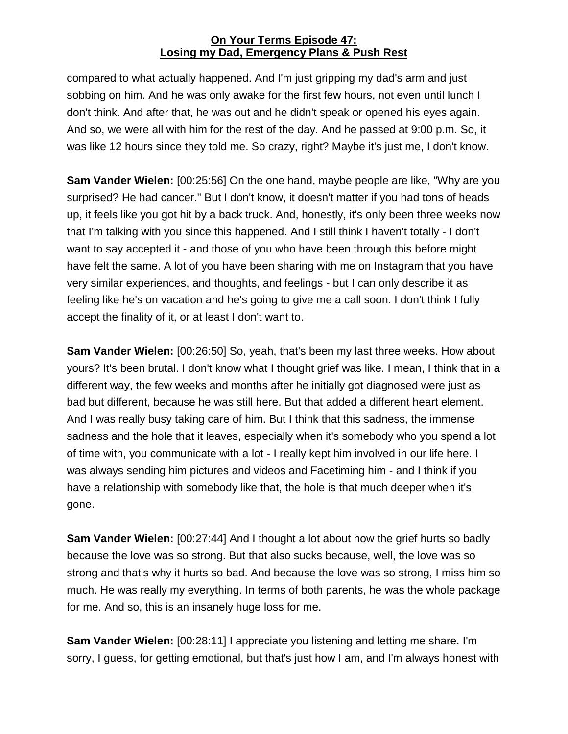compared to what actually happened. And I'm just gripping my dad's arm and just sobbing on him. And he was only awake for the first few hours, not even until lunch I don't think. And after that, he was out and he didn't speak or opened his eyes again. And so, we were all with him for the rest of the day. And he passed at 9:00 p.m. So, it was like 12 hours since they told me. So crazy, right? Maybe it's just me, I don't know.

**Sam Vander Wielen:** [00:25:56] On the one hand, maybe people are like, "Why are you surprised? He had cancer." But I don't know, it doesn't matter if you had tons of heads up, it feels like you got hit by a back truck. And, honestly, it's only been three weeks now that I'm talking with you since this happened. And I still think I haven't totally - I don't want to say accepted it - and those of you who have been through this before might have felt the same. A lot of you have been sharing with me on Instagram that you have very similar experiences, and thoughts, and feelings - but I can only describe it as feeling like he's on vacation and he's going to give me a call soon. I don't think I fully accept the finality of it, or at least I don't want to.

**Sam Vander Wielen:** [00:26:50] So, yeah, that's been my last three weeks. How about yours? It's been brutal. I don't know what I thought grief was like. I mean, I think that in a different way, the few weeks and months after he initially got diagnosed were just as bad but different, because he was still here. But that added a different heart element. And I was really busy taking care of him. But I think that this sadness, the immense sadness and the hole that it leaves, especially when it's somebody who you spend a lot of time with, you communicate with a lot - I really kept him involved in our life here. I was always sending him pictures and videos and Facetiming him - and I think if you have a relationship with somebody like that, the hole is that much deeper when it's gone.

**Sam Vander Wielen:** [00:27:44] And I thought a lot about how the grief hurts so badly because the love was so strong. But that also sucks because, well, the love was so strong and that's why it hurts so bad. And because the love was so strong, I miss him so much. He was really my everything. In terms of both parents, he was the whole package for me. And so, this is an insanely huge loss for me.

**Sam Vander Wielen:** [00:28:11] I appreciate you listening and letting me share. I'm sorry, I guess, for getting emotional, but that's just how I am, and I'm always honest with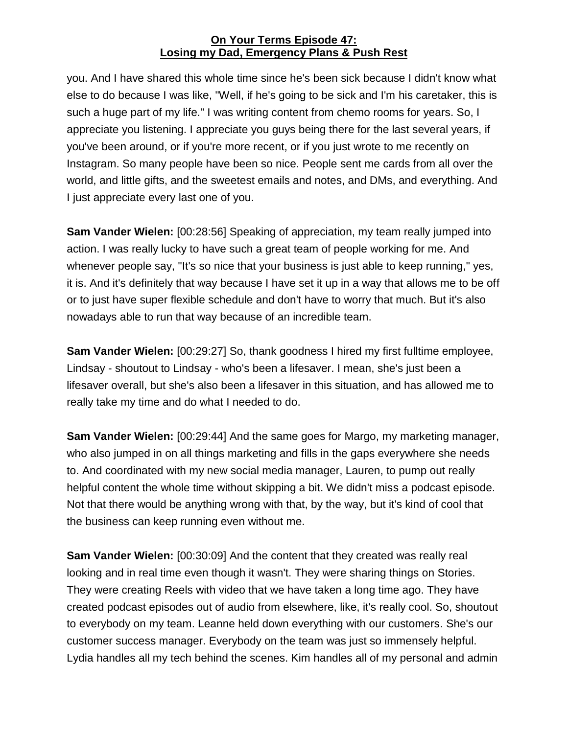you. And I have shared this whole time since he's been sick because I didn't know what else to do because I was like, "Well, if he's going to be sick and I'm his caretaker, this is such a huge part of my life." I was writing content from chemo rooms for years. So, I appreciate you listening. I appreciate you guys being there for the last several years, if you've been around, or if you're more recent, or if you just wrote to me recently on Instagram. So many people have been so nice. People sent me cards from all over the world, and little gifts, and the sweetest emails and notes, and DMs, and everything. And I just appreciate every last one of you.

**Sam Vander Wielen:** [00:28:56] Speaking of appreciation, my team really jumped into action. I was really lucky to have such a great team of people working for me. And whenever people say, "It's so nice that your business is just able to keep running," yes, it is. And it's definitely that way because I have set it up in a way that allows me to be off or to just have super flexible schedule and don't have to worry that much. But it's also nowadays able to run that way because of an incredible team.

**Sam Vander Wielen:** [00:29:27] So, thank goodness I hired my first fulltime employee, Lindsay - shoutout to Lindsay - who's been a lifesaver. I mean, she's just been a lifesaver overall, but she's also been a lifesaver in this situation, and has allowed me to really take my time and do what I needed to do.

**Sam Vander Wielen:** [00:29:44] And the same goes for Margo, my marketing manager, who also jumped in on all things marketing and fills in the gaps everywhere she needs to. And coordinated with my new social media manager, Lauren, to pump out really helpful content the whole time without skipping a bit. We didn't miss a podcast episode. Not that there would be anything wrong with that, by the way, but it's kind of cool that the business can keep running even without me.

**Sam Vander Wielen:** [00:30:09] And the content that they created was really real looking and in real time even though it wasn't. They were sharing things on Stories. They were creating Reels with video that we have taken a long time ago. They have created podcast episodes out of audio from elsewhere, like, it's really cool. So, shoutout to everybody on my team. Leanne held down everything with our customers. She's our customer success manager. Everybody on the team was just so immensely helpful. Lydia handles all my tech behind the scenes. Kim handles all of my personal and admin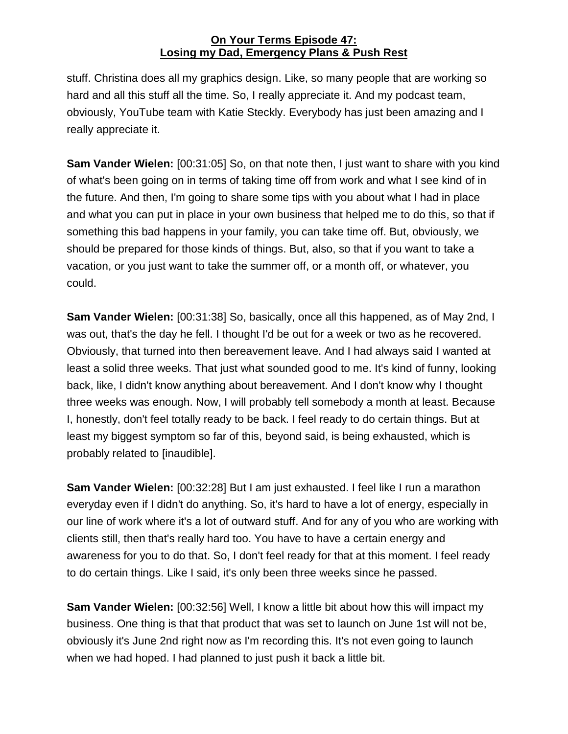stuff. Christina does all my graphics design. Like, so many people that are working so hard and all this stuff all the time. So, I really appreciate it. And my podcast team, obviously, YouTube team with Katie Steckly. Everybody has just been amazing and I really appreciate it.

**Sam Vander Wielen:** [00:31:05] So, on that note then, I just want to share with you kind of what's been going on in terms of taking time off from work and what I see kind of in the future. And then, I'm going to share some tips with you about what I had in place and what you can put in place in your own business that helped me to do this, so that if something this bad happens in your family, you can take time off. But, obviously, we should be prepared for those kinds of things. But, also, so that if you want to take a vacation, or you just want to take the summer off, or a month off, or whatever, you could.

**Sam Vander Wielen:** [00:31:38] So, basically, once all this happened, as of May 2nd, I was out, that's the day he fell. I thought I'd be out for a week or two as he recovered. Obviously, that turned into then bereavement leave. And I had always said I wanted at least a solid three weeks. That just what sounded good to me. It's kind of funny, looking back, like, I didn't know anything about bereavement. And I don't know why I thought three weeks was enough. Now, I will probably tell somebody a month at least. Because I, honestly, don't feel totally ready to be back. I feel ready to do certain things. But at least my biggest symptom so far of this, beyond said, is being exhausted, which is probably related to [inaudible].

**Sam Vander Wielen:** [00:32:28] But I am just exhausted. I feel like I run a marathon everyday even if I didn't do anything. So, it's hard to have a lot of energy, especially in our line of work where it's a lot of outward stuff. And for any of you who are working with clients still, then that's really hard too. You have to have a certain energy and awareness for you to do that. So, I don't feel ready for that at this moment. I feel ready to do certain things. Like I said, it's only been three weeks since he passed.

**Sam Vander Wielen:** [00:32:56] Well, I know a little bit about how this will impact my business. One thing is that that product that was set to launch on June 1st will not be, obviously it's June 2nd right now as I'm recording this. It's not even going to launch when we had hoped. I had planned to just push it back a little bit.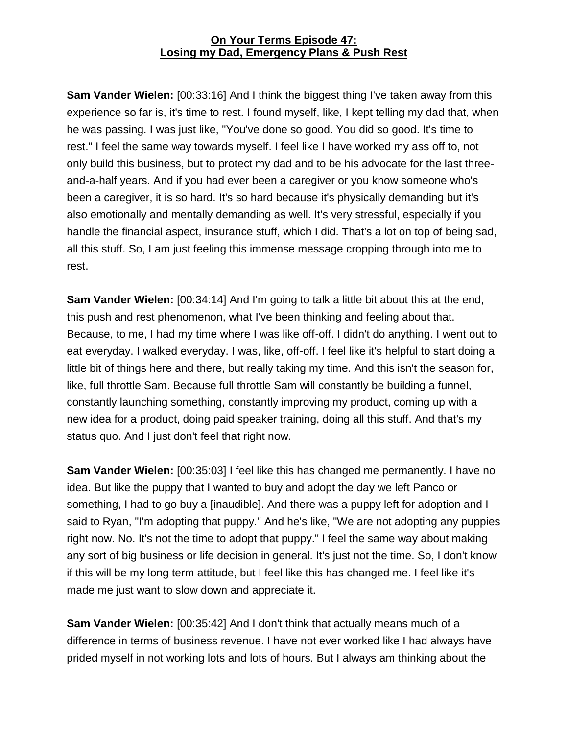**Sam Vander Wielen:** [00:33:16] And I think the biggest thing I've taken away from this experience so far is, it's time to rest. I found myself, like, I kept telling my dad that, when he was passing. I was just like, "You've done so good. You did so good. It's time to rest." I feel the same way towards myself. I feel like I have worked my ass off to, not only build this business, but to protect my dad and to be his advocate for the last threeand-a-half years. And if you had ever been a caregiver or you know someone who's been a caregiver, it is so hard. It's so hard because it's physically demanding but it's also emotionally and mentally demanding as well. It's very stressful, especially if you handle the financial aspect, insurance stuff, which I did. That's a lot on top of being sad, all this stuff. So, I am just feeling this immense message cropping through into me to rest.

**Sam Vander Wielen:** [00:34:14] And I'm going to talk a little bit about this at the end, this push and rest phenomenon, what I've been thinking and feeling about that. Because, to me, I had my time where I was like off-off. I didn't do anything. I went out to eat everyday. I walked everyday. I was, like, off-off. I feel like it's helpful to start doing a little bit of things here and there, but really taking my time. And this isn't the season for, like, full throttle Sam. Because full throttle Sam will constantly be building a funnel, constantly launching something, constantly improving my product, coming up with a new idea for a product, doing paid speaker training, doing all this stuff. And that's my status quo. And I just don't feel that right now.

**Sam Vander Wielen:** [00:35:03] I feel like this has changed me permanently. I have no idea. But like the puppy that I wanted to buy and adopt the day we left Panco or something, I had to go buy a [inaudible]. And there was a puppy left for adoption and I said to Ryan, "I'm adopting that puppy." And he's like, "We are not adopting any puppies right now. No. It's not the time to adopt that puppy." I feel the same way about making any sort of big business or life decision in general. It's just not the time. So, I don't know if this will be my long term attitude, but I feel like this has changed me. I feel like it's made me just want to slow down and appreciate it.

**Sam Vander Wielen:** [00:35:42] And I don't think that actually means much of a difference in terms of business revenue. I have not ever worked like I had always have prided myself in not working lots and lots of hours. But I always am thinking about the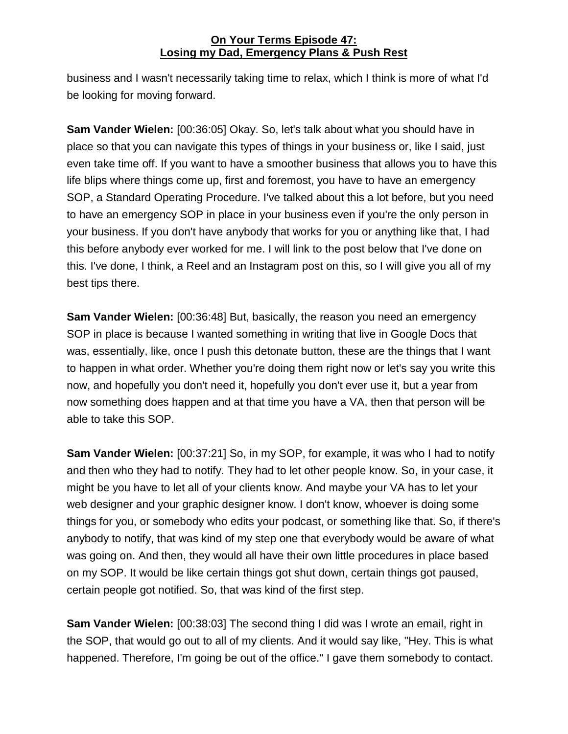business and I wasn't necessarily taking time to relax, which I think is more of what I'd be looking for moving forward.

**Sam Vander Wielen:** [00:36:05] Okay. So, let's talk about what you should have in place so that you can navigate this types of things in your business or, like I said, just even take time off. If you want to have a smoother business that allows you to have this life blips where things come up, first and foremost, you have to have an emergency SOP, a Standard Operating Procedure. I've talked about this a lot before, but you need to have an emergency SOP in place in your business even if you're the only person in your business. If you don't have anybody that works for you or anything like that, I had this before anybody ever worked for me. I will link to the post below that I've done on this. I've done, I think, a Reel and an Instagram post on this, so I will give you all of my best tips there.

**Sam Vander Wielen:** [00:36:48] But, basically, the reason you need an emergency SOP in place is because I wanted something in writing that live in Google Docs that was, essentially, like, once I push this detonate button, these are the things that I want to happen in what order. Whether you're doing them right now or let's say you write this now, and hopefully you don't need it, hopefully you don't ever use it, but a year from now something does happen and at that time you have a VA, then that person will be able to take this SOP.

**Sam Vander Wielen:** [00:37:21] So, in my SOP, for example, it was who I had to notify and then who they had to notify. They had to let other people know. So, in your case, it might be you have to let all of your clients know. And maybe your VA has to let your web designer and your graphic designer know. I don't know, whoever is doing some things for you, or somebody who edits your podcast, or something like that. So, if there's anybody to notify, that was kind of my step one that everybody would be aware of what was going on. And then, they would all have their own little procedures in place based on my SOP. It would be like certain things got shut down, certain things got paused, certain people got notified. So, that was kind of the first step.

**Sam Vander Wielen:** [00:38:03] The second thing I did was I wrote an email, right in the SOP, that would go out to all of my clients. And it would say like, "Hey. This is what happened. Therefore, I'm going be out of the office." I gave them somebody to contact.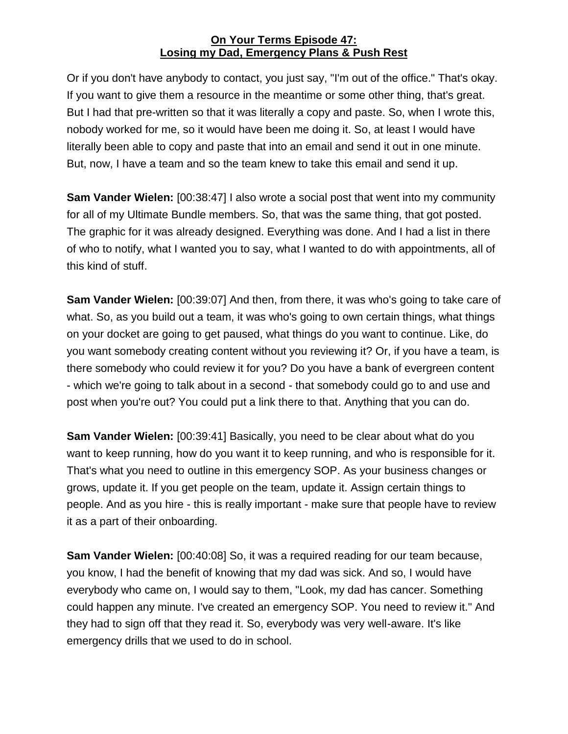Or if you don't have anybody to contact, you just say, "I'm out of the office." That's okay. If you want to give them a resource in the meantime or some other thing, that's great. But I had that pre-written so that it was literally a copy and paste. So, when I wrote this, nobody worked for me, so it would have been me doing it. So, at least I would have literally been able to copy and paste that into an email and send it out in one minute. But, now, I have a team and so the team knew to take this email and send it up.

**Sam Vander Wielen:** [00:38:47] I also wrote a social post that went into my community for all of my Ultimate Bundle members. So, that was the same thing, that got posted. The graphic for it was already designed. Everything was done. And I had a list in there of who to notify, what I wanted you to say, what I wanted to do with appointments, all of this kind of stuff.

**Sam Vander Wielen:** [00:39:07] And then, from there, it was who's going to take care of what. So, as you build out a team, it was who's going to own certain things, what things on your docket are going to get paused, what things do you want to continue. Like, do you want somebody creating content without you reviewing it? Or, if you have a team, is there somebody who could review it for you? Do you have a bank of evergreen content - which we're going to talk about in a second - that somebody could go to and use and post when you're out? You could put a link there to that. Anything that you can do.

**Sam Vander Wielen:** [00:39:41] Basically, you need to be clear about what do you want to keep running, how do you want it to keep running, and who is responsible for it. That's what you need to outline in this emergency SOP. As your business changes or grows, update it. If you get people on the team, update it. Assign certain things to people. And as you hire - this is really important - make sure that people have to review it as a part of their onboarding.

**Sam Vander Wielen:** [00:40:08] So, it was a required reading for our team because, you know, I had the benefit of knowing that my dad was sick. And so, I would have everybody who came on, I would say to them, "Look, my dad has cancer. Something could happen any minute. I've created an emergency SOP. You need to review it." And they had to sign off that they read it. So, everybody was very well-aware. It's like emergency drills that we used to do in school.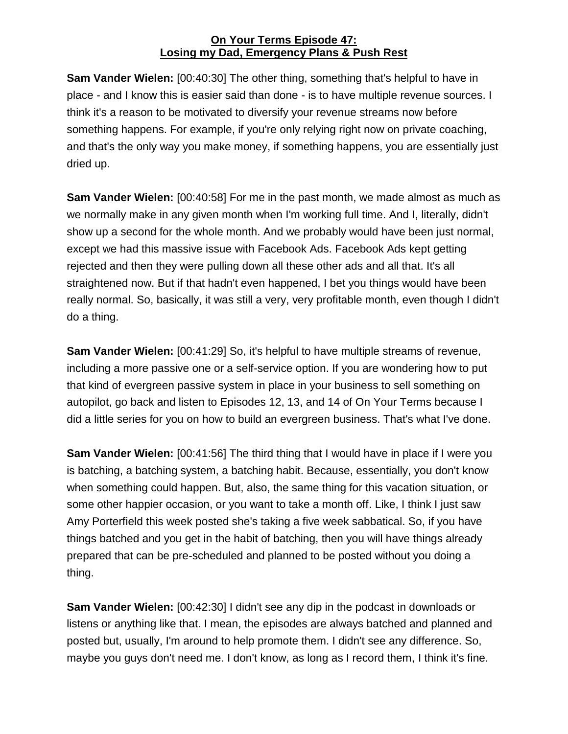**Sam Vander Wielen:** [00:40:30] The other thing, something that's helpful to have in place - and I know this is easier said than done - is to have multiple revenue sources. I think it's a reason to be motivated to diversify your revenue streams now before something happens. For example, if you're only relying right now on private coaching, and that's the only way you make money, if something happens, you are essentially just dried up.

**Sam Vander Wielen:** [00:40:58] For me in the past month, we made almost as much as we normally make in any given month when I'm working full time. And I, literally, didn't show up a second for the whole month. And we probably would have been just normal, except we had this massive issue with Facebook Ads. Facebook Ads kept getting rejected and then they were pulling down all these other ads and all that. It's all straightened now. But if that hadn't even happened, I bet you things would have been really normal. So, basically, it was still a very, very profitable month, even though I didn't do a thing.

**Sam Vander Wielen:** [00:41:29] So, it's helpful to have multiple streams of revenue, including a more passive one or a self-service option. If you are wondering how to put that kind of evergreen passive system in place in your business to sell something on autopilot, go back and listen to Episodes 12, 13, and 14 of On Your Terms because I did a little series for you on how to build an evergreen business. That's what I've done.

**Sam Vander Wielen:** [00:41:56] The third thing that I would have in place if I were you is batching, a batching system, a batching habit. Because, essentially, you don't know when something could happen. But, also, the same thing for this vacation situation, or some other happier occasion, or you want to take a month off. Like, I think I just saw Amy Porterfield this week posted she's taking a five week sabbatical. So, if you have things batched and you get in the habit of batching, then you will have things already prepared that can be pre-scheduled and planned to be posted without you doing a thing.

**Sam Vander Wielen:** [00:42:30] I didn't see any dip in the podcast in downloads or listens or anything like that. I mean, the episodes are always batched and planned and posted but, usually, I'm around to help promote them. I didn't see any difference. So, maybe you guys don't need me. I don't know, as long as I record them, I think it's fine.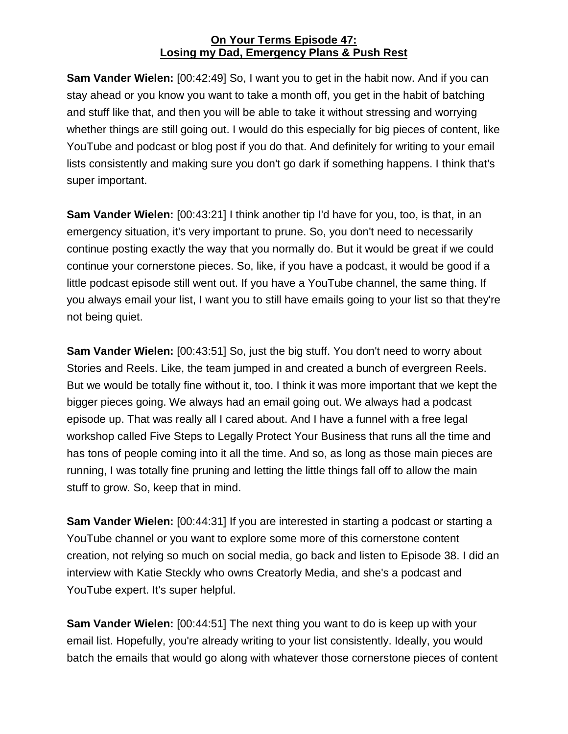**Sam Vander Wielen:** [00:42:49] So, I want you to get in the habit now. And if you can stay ahead or you know you want to take a month off, you get in the habit of batching and stuff like that, and then you will be able to take it without stressing and worrying whether things are still going out. I would do this especially for big pieces of content, like YouTube and podcast or blog post if you do that. And definitely for writing to your email lists consistently and making sure you don't go dark if something happens. I think that's super important.

**Sam Vander Wielen:** [00:43:21] I think another tip I'd have for you, too, is that, in an emergency situation, it's very important to prune. So, you don't need to necessarily continue posting exactly the way that you normally do. But it would be great if we could continue your cornerstone pieces. So, like, if you have a podcast, it would be good if a little podcast episode still went out. If you have a YouTube channel, the same thing. If you always email your list, I want you to still have emails going to your list so that they're not being quiet.

**Sam Vander Wielen:** [00:43:51] So, just the big stuff. You don't need to worry about Stories and Reels. Like, the team jumped in and created a bunch of evergreen Reels. But we would be totally fine without it, too. I think it was more important that we kept the bigger pieces going. We always had an email going out. We always had a podcast episode up. That was really all I cared about. And I have a funnel with a free legal workshop called Five Steps to Legally Protect Your Business that runs all the time and has tons of people coming into it all the time. And so, as long as those main pieces are running, I was totally fine pruning and letting the little things fall off to allow the main stuff to grow. So, keep that in mind.

**Sam Vander Wielen:** [00:44:31] If you are interested in starting a podcast or starting a YouTube channel or you want to explore some more of this cornerstone content creation, not relying so much on social media, go back and listen to Episode 38. I did an interview with Katie Steckly who owns Creatorly Media, and she's a podcast and YouTube expert. It's super helpful.

**Sam Vander Wielen:** [00:44:51] The next thing you want to do is keep up with your email list. Hopefully, you're already writing to your list consistently. Ideally, you would batch the emails that would go along with whatever those cornerstone pieces of content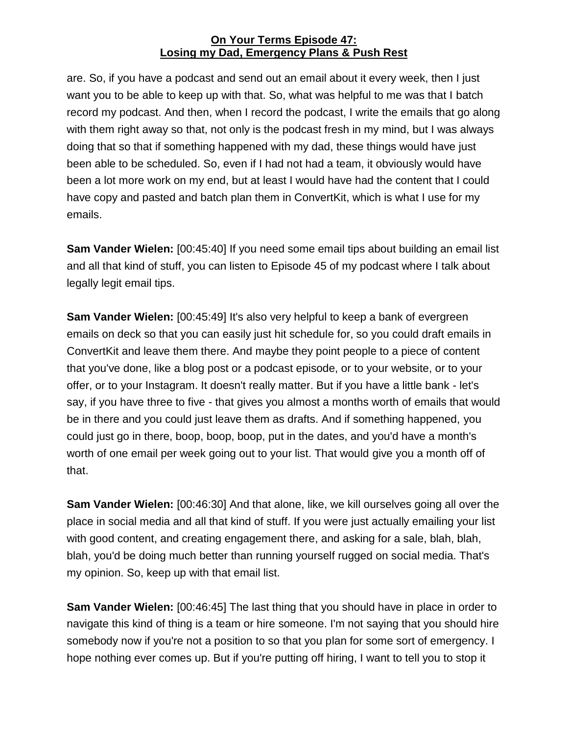are. So, if you have a podcast and send out an email about it every week, then I just want you to be able to keep up with that. So, what was helpful to me was that I batch record my podcast. And then, when I record the podcast, I write the emails that go along with them right away so that, not only is the podcast fresh in my mind, but I was always doing that so that if something happened with my dad, these things would have just been able to be scheduled. So, even if I had not had a team, it obviously would have been a lot more work on my end, but at least I would have had the content that I could have copy and pasted and batch plan them in ConvertKit, which is what I use for my emails.

**Sam Vander Wielen:** [00:45:40] If you need some email tips about building an email list and all that kind of stuff, you can listen to Episode 45 of my podcast where I talk about legally legit email tips.

**Sam Vander Wielen:** [00:45:49] It's also very helpful to keep a bank of evergreen emails on deck so that you can easily just hit schedule for, so you could draft emails in ConvertKit and leave them there. And maybe they point people to a piece of content that you've done, like a blog post or a podcast episode, or to your website, or to your offer, or to your Instagram. It doesn't really matter. But if you have a little bank - let's say, if you have three to five - that gives you almost a months worth of emails that would be in there and you could just leave them as drafts. And if something happened, you could just go in there, boop, boop, boop, put in the dates, and you'd have a month's worth of one email per week going out to your list. That would give you a month off of that.

**Sam Vander Wielen:** [00:46:30] And that alone, like, we kill ourselves going all over the place in social media and all that kind of stuff. If you were just actually emailing your list with good content, and creating engagement there, and asking for a sale, blah, blah, blah, you'd be doing much better than running yourself rugged on social media. That's my opinion. So, keep up with that email list.

**Sam Vander Wielen:** [00:46:45] The last thing that you should have in place in order to navigate this kind of thing is a team or hire someone. I'm not saying that you should hire somebody now if you're not a position to so that you plan for some sort of emergency. I hope nothing ever comes up. But if you're putting off hiring, I want to tell you to stop it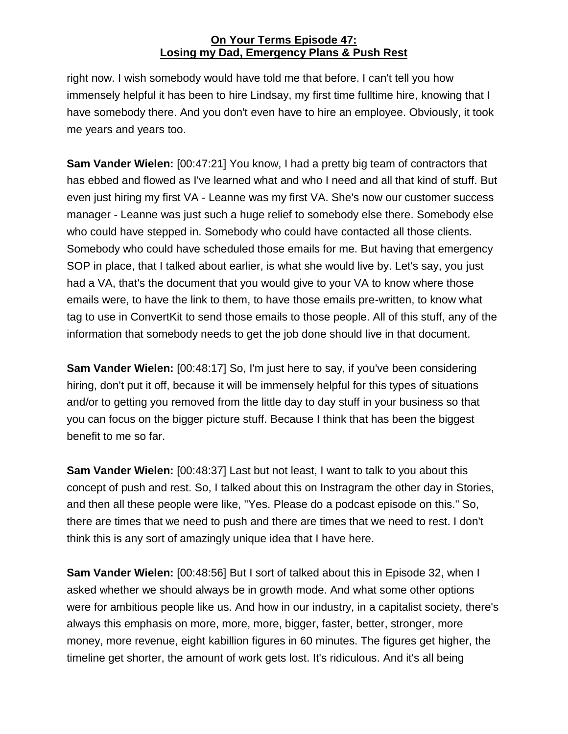right now. I wish somebody would have told me that before. I can't tell you how immensely helpful it has been to hire Lindsay, my first time fulltime hire, knowing that I have somebody there. And you don't even have to hire an employee. Obviously, it took me years and years too.

**Sam Vander Wielen:** [00:47:21] You know, I had a pretty big team of contractors that has ebbed and flowed as I've learned what and who I need and all that kind of stuff. But even just hiring my first VA - Leanne was my first VA. She's now our customer success manager - Leanne was just such a huge relief to somebody else there. Somebody else who could have stepped in. Somebody who could have contacted all those clients. Somebody who could have scheduled those emails for me. But having that emergency SOP in place, that I talked about earlier, is what she would live by. Let's say, you just had a VA, that's the document that you would give to your VA to know where those emails were, to have the link to them, to have those emails pre-written, to know what tag to use in ConvertKit to send those emails to those people. All of this stuff, any of the information that somebody needs to get the job done should live in that document.

**Sam Vander Wielen:** [00:48:17] So, I'm just here to say, if you've been considering hiring, don't put it off, because it will be immensely helpful for this types of situations and/or to getting you removed from the little day to day stuff in your business so that you can focus on the bigger picture stuff. Because I think that has been the biggest benefit to me so far.

**Sam Vander Wielen:** [00:48:37] Last but not least, I want to talk to you about this concept of push and rest. So, I talked about this on Instragram the other day in Stories, and then all these people were like, "Yes. Please do a podcast episode on this." So, there are times that we need to push and there are times that we need to rest. I don't think this is any sort of amazingly unique idea that I have here.

**Sam Vander Wielen:** [00:48:56] But I sort of talked about this in Episode 32, when I asked whether we should always be in growth mode. And what some other options were for ambitious people like us. And how in our industry, in a capitalist society, there's always this emphasis on more, more, more, bigger, faster, better, stronger, more money, more revenue, eight kabillion figures in 60 minutes. The figures get higher, the timeline get shorter, the amount of work gets lost. It's ridiculous. And it's all being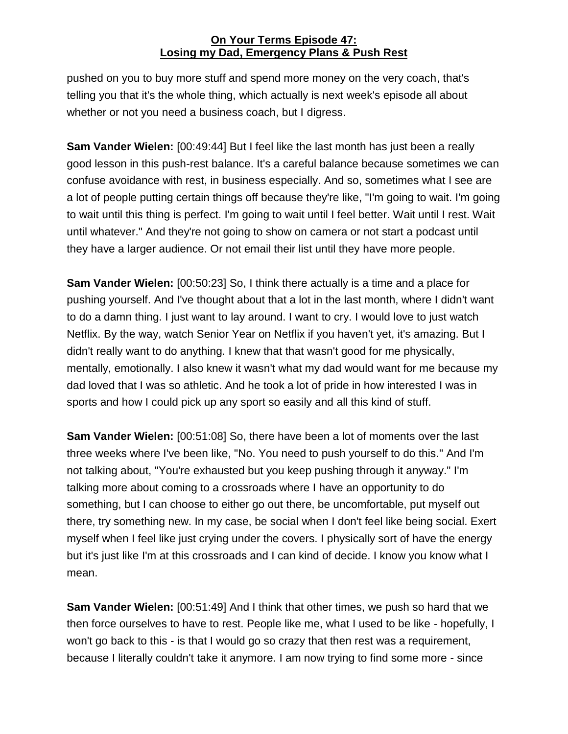pushed on you to buy more stuff and spend more money on the very coach, that's telling you that it's the whole thing, which actually is next week's episode all about whether or not you need a business coach, but I digress.

**Sam Vander Wielen:** [00:49:44] But I feel like the last month has just been a really good lesson in this push-rest balance. It's a careful balance because sometimes we can confuse avoidance with rest, in business especially. And so, sometimes what I see are a lot of people putting certain things off because they're like, "I'm going to wait. I'm going to wait until this thing is perfect. I'm going to wait until I feel better. Wait until I rest. Wait until whatever." And they're not going to show on camera or not start a podcast until they have a larger audience. Or not email their list until they have more people.

**Sam Vander Wielen:** [00:50:23] So, I think there actually is a time and a place for pushing yourself. And I've thought about that a lot in the last month, where I didn't want to do a damn thing. I just want to lay around. I want to cry. I would love to just watch Netflix. By the way, watch Senior Year on Netflix if you haven't yet, it's amazing. But I didn't really want to do anything. I knew that that wasn't good for me physically, mentally, emotionally. I also knew it wasn't what my dad would want for me because my dad loved that I was so athletic. And he took a lot of pride in how interested I was in sports and how I could pick up any sport so easily and all this kind of stuff.

**Sam Vander Wielen:** [00:51:08] So, there have been a lot of moments over the last three weeks where I've been like, "No. You need to push yourself to do this." And I'm not talking about, "You're exhausted but you keep pushing through it anyway." I'm talking more about coming to a crossroads where I have an opportunity to do something, but I can choose to either go out there, be uncomfortable, put myself out there, try something new. In my case, be social when I don't feel like being social. Exert myself when I feel like just crying under the covers. I physically sort of have the energy but it's just like I'm at this crossroads and I can kind of decide. I know you know what I mean.

**Sam Vander Wielen:** [00:51:49] And I think that other times, we push so hard that we then force ourselves to have to rest. People like me, what I used to be like - hopefully, I won't go back to this - is that I would go so crazy that then rest was a requirement, because I literally couldn't take it anymore. I am now trying to find some more - since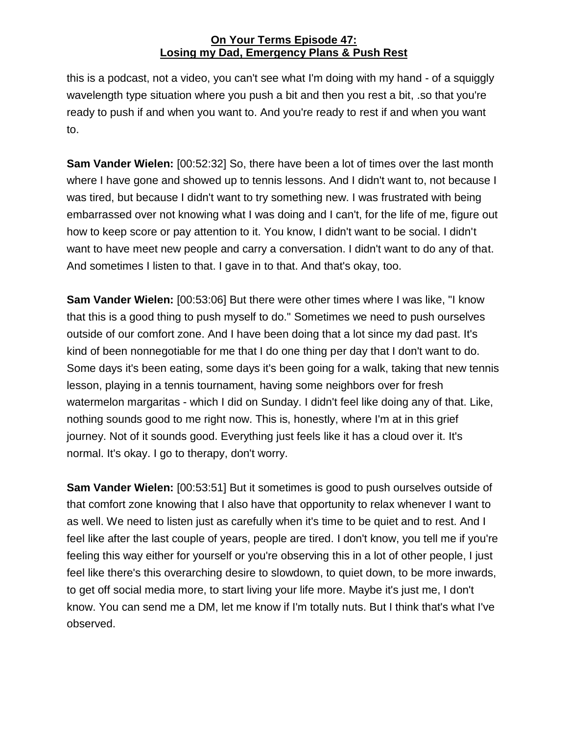this is a podcast, not a video, you can't see what I'm doing with my hand - of a squiggly wavelength type situation where you push a bit and then you rest a bit, .so that you're ready to push if and when you want to. And you're ready to rest if and when you want to.

**Sam Vander Wielen:** [00:52:32] So, there have been a lot of times over the last month where I have gone and showed up to tennis lessons. And I didn't want to, not because I was tired, but because I didn't want to try something new. I was frustrated with being embarrassed over not knowing what I was doing and I can't, for the life of me, figure out how to keep score or pay attention to it. You know, I didn't want to be social. I didn't want to have meet new people and carry a conversation. I didn't want to do any of that. And sometimes I listen to that. I gave in to that. And that's okay, too.

**Sam Vander Wielen:** [00:53:06] But there were other times where I was like, "I know that this is a good thing to push myself to do." Sometimes we need to push ourselves outside of our comfort zone. And I have been doing that a lot since my dad past. It's kind of been nonnegotiable for me that I do one thing per day that I don't want to do. Some days it's been eating, some days it's been going for a walk, taking that new tennis lesson, playing in a tennis tournament, having some neighbors over for fresh watermelon margaritas - which I did on Sunday. I didn't feel like doing any of that. Like, nothing sounds good to me right now. This is, honestly, where I'm at in this grief journey. Not of it sounds good. Everything just feels like it has a cloud over it. It's normal. It's okay. I go to therapy, don't worry.

**Sam Vander Wielen:** [00:53:51] But it sometimes is good to push ourselves outside of that comfort zone knowing that I also have that opportunity to relax whenever I want to as well. We need to listen just as carefully when it's time to be quiet and to rest. And I feel like after the last couple of years, people are tired. I don't know, you tell me if you're feeling this way either for yourself or you're observing this in a lot of other people, I just feel like there's this overarching desire to slowdown, to quiet down, to be more inwards, to get off social media more, to start living your life more. Maybe it's just me, I don't know. You can send me a DM, let me know if I'm totally nuts. But I think that's what I've observed.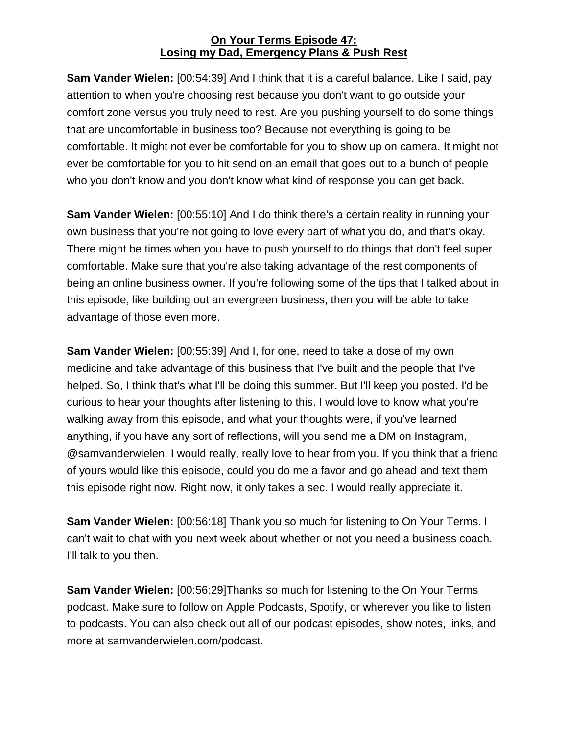**Sam Vander Wielen:** [00:54:39] And I think that it is a careful balance. Like I said, pay attention to when you're choosing rest because you don't want to go outside your comfort zone versus you truly need to rest. Are you pushing yourself to do some things that are uncomfortable in business too? Because not everything is going to be comfortable. It might not ever be comfortable for you to show up on camera. It might not ever be comfortable for you to hit send on an email that goes out to a bunch of people who you don't know and you don't know what kind of response you can get back.

**Sam Vander Wielen:** [00:55:10] And I do think there's a certain reality in running your own business that you're not going to love every part of what you do, and that's okay. There might be times when you have to push yourself to do things that don't feel super comfortable. Make sure that you're also taking advantage of the rest components of being an online business owner. If you're following some of the tips that I talked about in this episode, like building out an evergreen business, then you will be able to take advantage of those even more.

**Sam Vander Wielen:** [00:55:39] And I, for one, need to take a dose of my own medicine and take advantage of this business that I've built and the people that I've helped. So, I think that's what I'll be doing this summer. But I'll keep you posted. I'd be curious to hear your thoughts after listening to this. I would love to know what you're walking away from this episode, and what your thoughts were, if you've learned anything, if you have any sort of reflections, will you send me a DM on Instagram, @samvanderwielen. I would really, really love to hear from you. If you think that a friend of yours would like this episode, could you do me a favor and go ahead and text them this episode right now. Right now, it only takes a sec. I would really appreciate it.

**Sam Vander Wielen:** [00:56:18] Thank you so much for listening to On Your Terms. I can't wait to chat with you next week about whether or not you need a business coach. I'll talk to you then.

**Sam Vander Wielen:** [00:56:29]Thanks so much for listening to the On Your Terms podcast. Make sure to follow on Apple Podcasts, Spotify, or wherever you like to listen to podcasts. You can also check out all of our podcast episodes, show notes, links, and more at samvanderwielen.com/podcast.